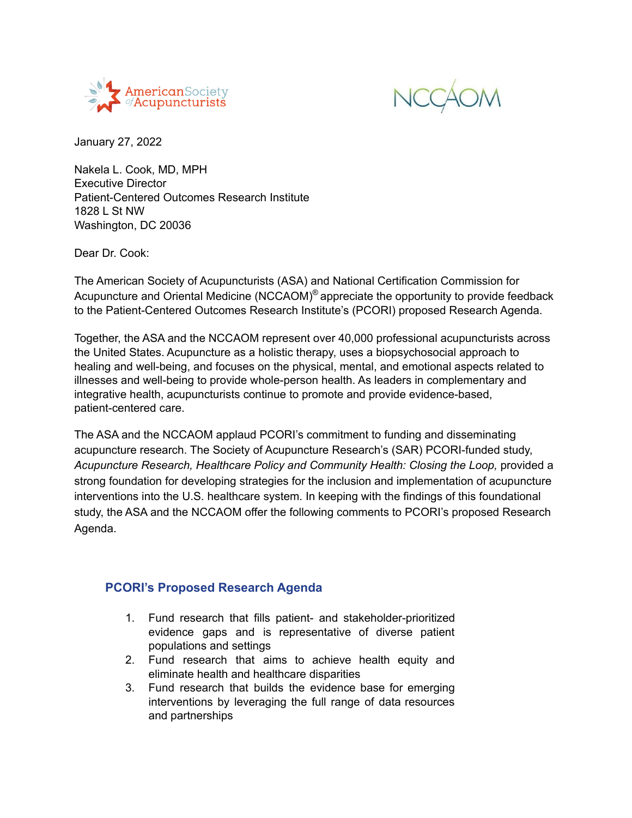



January 27, 2022

Nakela L. Cook, MD, MPH Executive Director Patient-Centered Outcomes Research Institute 1828 L St NW Washington, DC 20036

Dear Dr. Cook:

The American Society of Acupuncturists (ASA) and National Certification Commission for Acupuncture and Oriental Medicine (NCCAOM)<sup>®</sup> appreciate the opportunity to provide feedback to the Patient-Centered Outcomes Research Institute's (PCORI) proposed Research Agenda.

Together, the ASA and the NCCAOM represent over 40,000 professional acupuncturists across the United States. Acupuncture as a holistic therapy, uses a biopsychosocial approach to healing and well-being, and focuses on the physical, mental, and emotional aspects related to illnesses and well-being to provide whole-person health. As leaders in complementary and integrative health, acupuncturists continue to promote and provide evidence-based, patient-centered care.

The ASA and the NCCAOM applaud PCORI's commitment to funding and disseminating acupuncture research. The Society of Acupuncture Research's (SAR) PCORI-funded study, *Acupuncture Research, Healthcare Policy and Community Health: Closing the Loop,* provided a strong foundation for developing strategies for the inclusion and implementation of acupuncture interventions into the U.S. healthcare system. In keeping with the findings of this foundational study, the ASA and the NCCAOM offer the following comments to PCORI's proposed Research Agenda.

#### **PCORI's Proposed Research Agenda**

- 1. Fund research that fills patient- and stakeholder-prioritized evidence gaps and is representative of diverse patient populations and settings
- 2. Fund research that aims to achieve health equity and eliminate health and healthcare disparities
- 3. Fund research that builds the evidence base for emerging interventions by leveraging the full range of data resources and partnerships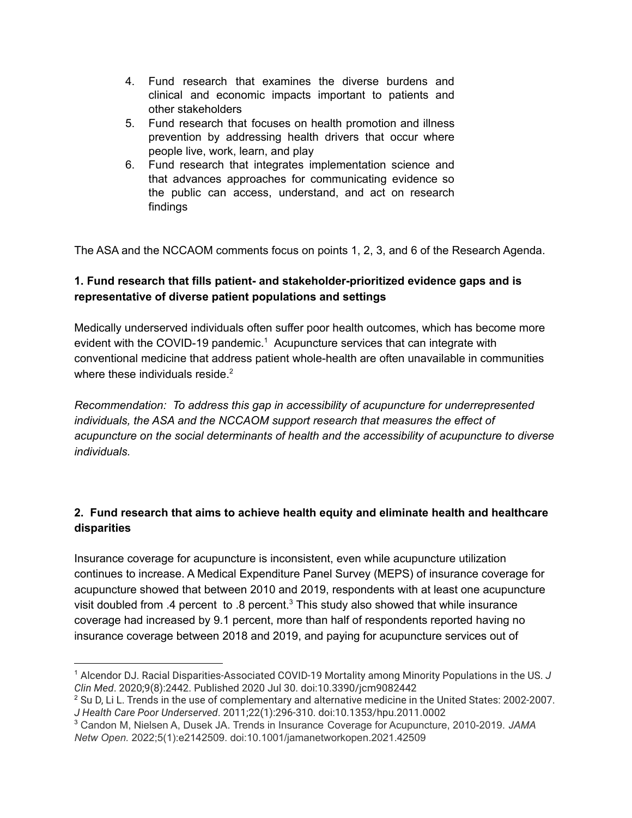- 4. Fund research that examines the diverse burdens and clinical and economic impacts important to patients and other stakeholders
- 5. Fund research that focuses on health promotion and illness prevention by addressing health drivers that occur where people live, work, learn, and play
- 6. Fund research that integrates implementation science and that advances approaches for communicating evidence so the public can access, understand, and act on research findings

The ASA and the NCCAOM comments focus on points 1, 2, 3, and 6 of the Research Agenda.

## **1. Fund research that fills patient- and stakeholder-prioritized evidence gaps and is representative of diverse patient populations and settings**

Medically underserved individuals often suffer poor health outcomes, which has become more evident with the COVID-19 pandemic.<sup>1</sup> Acupuncture services that can integrate with conventional medicine that address patient whole-health are often unavailable in communities where these individuals reside.<sup>2</sup>

*Recommendation: To address this gap in accessibility of acupuncture for underrepresented individuals, the ASA and the NCCAOM support research that measures the effect of acupuncture on the social determinants of health and the accessibility of acupuncture to diverse individuals.*

## **2. Fund research that aims to achieve health equity and eliminate health and healthcare disparities**

Insurance coverage for acupuncture is inconsistent, even while acupuncture utilization continues to increase. A Medical Expenditure Panel Survey (MEPS) of insurance coverage for acupuncture showed that between 2010 and 2019, respondents with at least one acupuncture visit doubled from .4 percent to .8 percent.<sup>3</sup> This study also showed that while insurance coverage had increased by 9.1 percent, more than half of respondents reported having no insurance coverage between 2018 and 2019, and paying for acupuncture services out of

<sup>1</sup> Alcendor DJ. Racial Disparities-Associated COVID-19 Mortality among Minority Populations in the US. *J Clin Med*. 2020;9(8):2442. Published 2020 Jul 30. doi:10.3390/jcm9082442

<sup>&</sup>lt;sup>2</sup> Su D, Li L. Trends in the use of complementary and alternative medicine in the United States: 2002-2007. *J Health Care Poor Underserved*. 2011;22(1):296-310. doi:10.1353/hpu.2011.0002

<sup>3</sup> Candon M, Nielsen A, Dusek JA. Trends in Insurance Coverage for Acupuncture, 2010-2019. *JAMA Netw Open.* 2022;5(1):e2142509. doi:10.1001/jamanetworkopen.2021.42509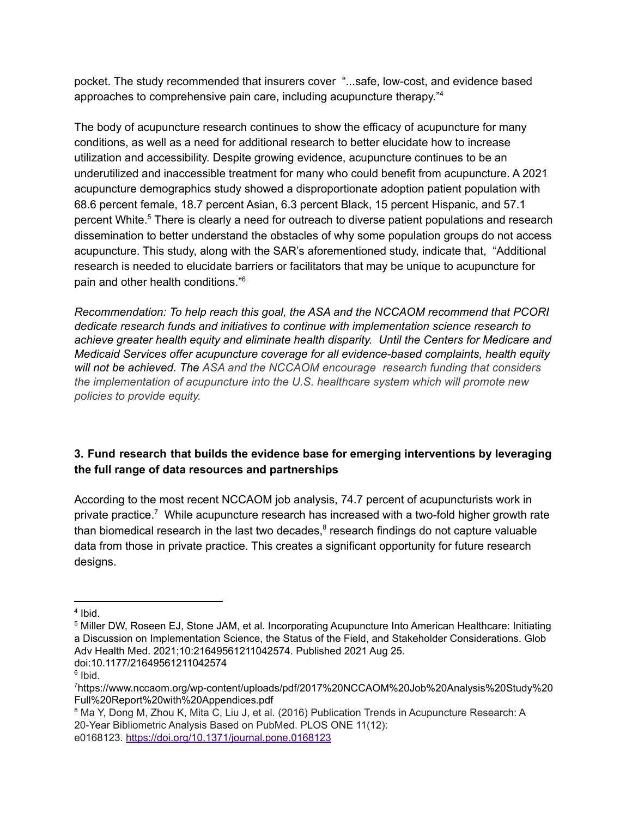pocket. The study recommended that insurers cover "...safe, low-cost, and evidence based approaches to comprehensive pain care, including acupuncture therapy." 4

The body of acupuncture research continues to show the efficacy of acupuncture for many conditions, as well as a need for additional research to better elucidate how to increase utilization and accessibility. Despite growing evidence, acupuncture continues to be an underutilized and inaccessible treatment for many who could benefit from acupuncture. A 2021 acupuncture demographics study showed a disproportionate adoption patient population with 68.6 percent female, 18.7 percent Asian, 6.3 percent Black, 15 percent Hispanic, and 57.1 percent White.<sup>5</sup> There is clearly a need for outreach to diverse patient populations and research dissemination to better understand the obstacles of why some population groups do not access acupuncture. This study, along with the SAR's aforementioned study, indicate that, "Additional research is needed to elucidate barriers or facilitators that may be unique to acupuncture for pain and other health conditions." 6

*Recommendation: To help reach this goal, the ASA and the NCCAOM recommend that PCORI dedicate research funds and initiatives to continue with implementation science research to achieve greater health equity and eliminate health disparity. Until the Centers for Medicare and Medicaid Services offer acupuncture coverage for all evidence-based complaints, health equity will not be achieved. The ASA and the NCCAOM encourage research funding that considers the implementation of acupuncture into the U.S. healthcare system which will promote new policies to provide equity.*

# **3. Fund research that builds the evidence base for emerging interventions by leveraging the full range of data resources and partnerships**

According to the most recent NCCAOM job analysis, 74.7 percent of acupuncturists work in private practice.<sup>7</sup> While acupuncture research has increased with a two-fold higher growth rate than biomedical research in the last two decades, $<sup>8</sup>$  research findings do not capture valuable</sup> data from those in private practice. This creates a significant opportunity for future research designs.

<sup>4</sup> Ibid.

<sup>5</sup> Miller DW, Roseen EJ, Stone JAM, et al. Incorporating Acupuncture Into American Healthcare: Initiating a Discussion on Implementation Science, the Status of the Field, and Stakeholder Considerations. Glob Adv Health Med. 2021;10:21649561211042574. Published 2021 Aug 25. doi:10.1177/21649561211042574

<sup>&</sup>lt;sup>6</sup> Ibid.

<sup>7</sup>https://www.nccaom.org/wp-content/uploads/pdf/2017%20NCCAOM%20Job%20Analysis%20Study%20 Full%20Report%20with%20Appendices.pdf

<sup>&</sup>lt;sup>8</sup> Ma Y, Dong M, Zhou K, Mita C, Liu J, et al. (2016) Publication Trends in Acupuncture Research: A 20-Year Bibliometric Analysis Based on PubMed. PLOS ONE 11(12): e0168123. <https://doi.org/10.1371/journal.pone.0168123>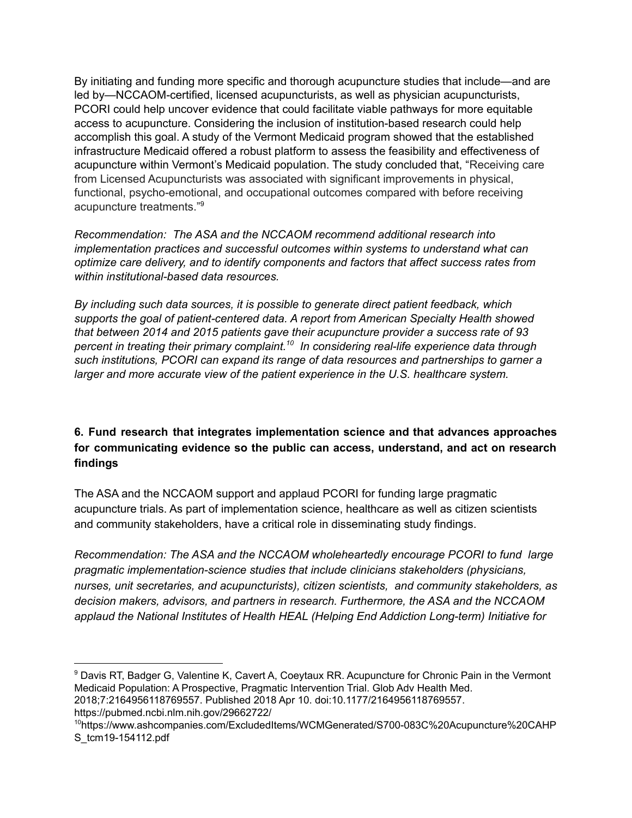By initiating and funding more specific and thorough acupuncture studies that include—and are led by—NCCAOM-certified, licensed acupuncturists, as well as physician acupuncturists, PCORI could help uncover evidence that could facilitate viable pathways for more equitable access to acupuncture. Considering the inclusion of institution-based research could help accomplish this goal. A study of the Vermont Medicaid program showed that the established infrastructure Medicaid offered a robust platform to assess the feasibility and effectiveness of acupuncture within Vermont's Medicaid population. The study concluded that, "Receiving care from Licensed Acupuncturists was associated with significant improvements in physical, functional, psycho-emotional, and occupational outcomes compared with before receiving acupuncture treatments." 9

*Recommendation: The ASA and the NCCAOM recommend additional research into implementation practices and successful outcomes within systems to understand what can optimize care delivery, and to identify components and factors that affect success rates from within institutional-based data resources.*

*By including such data sources, it is possible to generate direct patient feedback, which supports the goal of patient-centered data. A report from American Specialty Health showed that between 2014 and 2015 patients gave their acupuncture provider a success rate of 93 percent in treating their primary complaint. In considering real-life experience data through 10 such institutions, PCORI can expand its range of data resources and partnerships to garner a larger and more accurate view of the patient experience in the U.S. healthcare system.*

## **6. Fund research that integrates implementation science and that advances approaches for communicating evidence so the public can access, understand, and act on research findings**

The ASA and the NCCAOM support and applaud PCORI for funding large pragmatic acupuncture trials. As part of implementation science, healthcare as well as citizen scientists and community stakeholders, have a critical role in disseminating study findings.

*Recommendation: The ASA and the NCCAOM wholeheartedly encourage PCORI to fund large pragmatic implementation-science studies that include clinicians stakeholders (physicians, nurses, unit secretaries, and acupuncturists), citizen scientists, and community stakeholders, as decision makers, advisors, and partners in research. Furthermore, the ASA and the NCCAOM applaud the National Institutes of Health HEAL (Helping End Addiction Long-term) Initiative for*

<sup>9</sup> Davis RT, Badger G, Valentine K, Cavert A, Coeytaux RR. Acupuncture for Chronic Pain in the Vermont Medicaid Population: A Prospective, Pragmatic Intervention Trial. Glob Adv Health Med.

2018;7:2164956118769557. Published 2018 Apr 10. doi:10.1177/2164956118769557. https://pubmed.ncbi.nlm.nih.gov/29662722/

<sup>10</sup>https://www.ashcompanies.com/ExcludedItems/WCMGenerated/S700-083C%20Acupuncture%20CAHP S\_tcm19-154112.pdf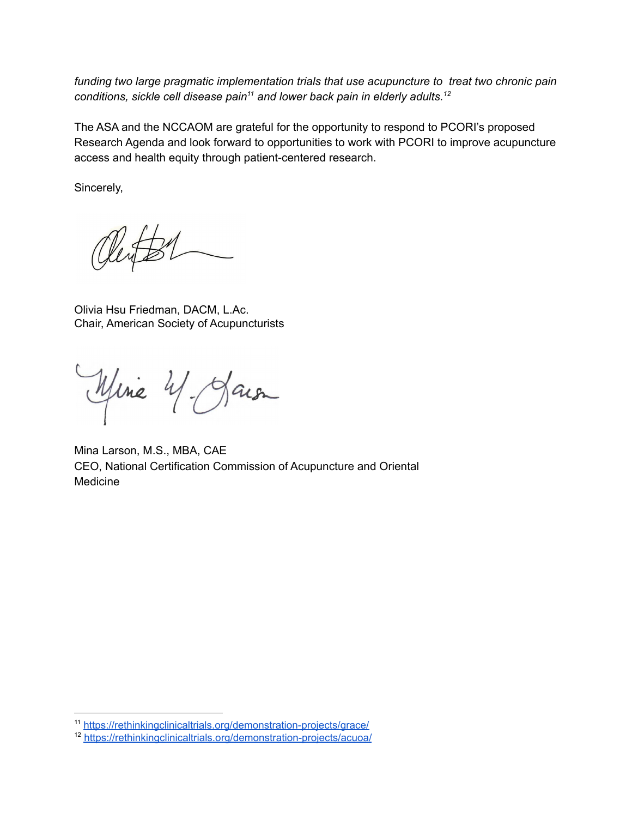*funding two large pragmatic implementation trials that use acupuncture to treat two chronic pain conditions, sickle cell disease pain and lower back pain in elderly adults. 11 12*

The ASA and the NCCAOM are grateful for the opportunity to respond to PCORI's proposed Research Agenda and look forward to opportunities to work with PCORI to improve acupuncture access and health equity through patient-centered research.

Sincerely,

Olivia Hsu Friedman, DACM, L.Ac. Chair, American Society of Acupuncturists

Mine 4 Jaion

Mina Larson, M.S., MBA, CAE CEO, National Certification Commission of Acupuncture and Oriental Medicine

<sup>11</sup> <https://rethinkingclinicaltrials.org/demonstration-projects/grace/>

<sup>12</sup> <https://rethinkingclinicaltrials.org/demonstration-projects/acuoa/>